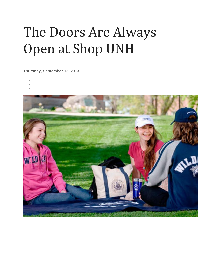## The Doors Are Always Open at Shop UNH

**Thursday, September 12, 2013**

- •
- -

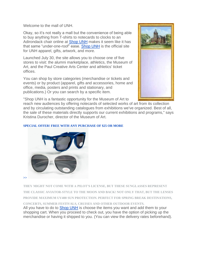Welcome to the mall of UNH.

Okay, so it's not really a mall but the convenience of being able to buy anything from T-shirts to notecards to clocks to an Adirondack chair online at [Shop UNH](https://secure.touchnet.net/C21681_ustores/web/index.jsp) makes it seem like it has that same "under-one-roof" ease. [Shop UNH](https://secure.touchnet.net/C21681_ustores/web/index.jsp) is the official site for UNH apparel, gifts, artwork, and more.

Launched July 30, the site allows you to choose one of five stores to visit: the alumni marketplace, athletics, the Museum of Art, and the Paul Creative Arts Center and athletics' ticket offices.

You can shop by store categories (merchandise or tickets and events) or by product (apparel, gifts and accessories, home and office, media, posters and prints and stationary, and publications.) Or you can search by a specific item.



"Shop UNH is a fantastic opportunity for the Museum of Art to

reach new audiences by offering notecards of selected works of art from its collection and by circulating outstanding catalogues from exhibitions we've organized. Best of all, the sale of these materials directly supports our current exhibitions and programs," says Kristina Durocher, director of the Museum of Art.

## **[SPECIAL OFFER! FREE WITH ANY PURCHASE OF \\$25 OR MORE](https://secure.touchnet.net/C21681_ustores/web/category.jsp?CATID=2)**



**THEY MIGHT NOT COME WITH A PILOT'S LICENSE, BUT THESE SUNGLASSES REPRESENT THE CLASSIC AVIATOR-STYLE TO THE MOON AND BACK! NOT ONLY THAT, BUT THE LENSES PROVIDE MAXIMUM UV400 SUN PROTECTION. PERFECT FOR SPRING BREAK DESTINATIONS,** 

All you have to do to [Shop UNH](https://secure.touchnet.net/C21681_ustores/web/index.jsp) is choose the items you want and add them to your shopping cart. When you proceed to check out, you have the option of picking up the merchandise or having it shipped to you. (You can view the delivery rates beforehand). **CONCERTS, SUMMER FESTIVALS, CRUISES AND OTHER OUTDOOR EVENTS.**